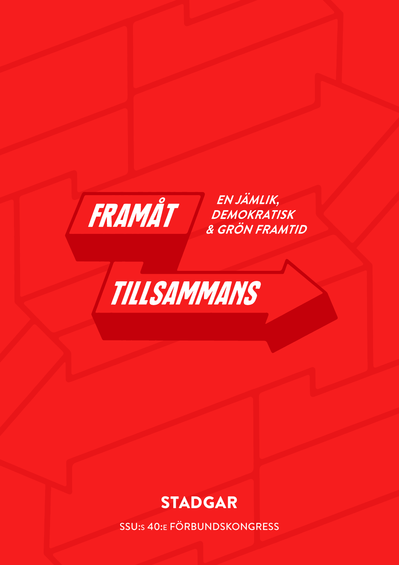

EN JÄMLIK, DEMOKRATISK & GRÖN FRAMTID



# **STADGAR**

**SSU:s 40:E FÖRBUNDSKONGRESS**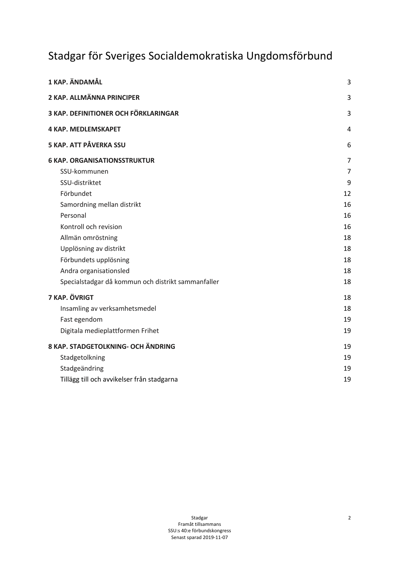## Stadgar för Sveriges Socialdemokratiska Ungdomsförbund

| 1 KAP. ÄNDAMÅL                                     | 3  |
|----------------------------------------------------|----|
| 2 KAP. ALLMÄNNA PRINCIPER                          | 3  |
| 3 KAP. DEFINITIONER OCH FÖRKLARINGAR               | 3  |
| <b>4 KAP. MEDLEMSKAPET</b>                         | 4  |
| 5 KAP. ATT PÅVERKA SSU                             | 6  |
| <b>6 KAP. ORGANISATIONSSTRUKTUR</b>                | 7  |
| SSU-kommunen                                       | 7  |
| SSU-distriktet                                     | 9  |
| Förbundet                                          | 12 |
| Samordning mellan distrikt                         | 16 |
| Personal                                           | 16 |
| Kontroll och revision                              | 16 |
| Allmän omröstning                                  | 18 |
| Upplösning av distrikt                             | 18 |
| Förbundets upplösning                              | 18 |
| Andra organisationsled                             | 18 |
| Specialstadgar då kommun och distrikt sammanfaller | 18 |
| 7 KAP. ÖVRIGT                                      | 18 |
| Insamling av verksamhetsmedel                      | 18 |
| Fast egendom                                       | 19 |
| Digitala medieplattformen Frihet                   | 19 |
| 8 KAP. STADGETOLKNING- OCH ÄNDRING                 | 19 |
| Stadgetolkning                                     | 19 |
| Stadgeändring                                      | 19 |
| Tillägg till och avvikelser från stadgarna         | 19 |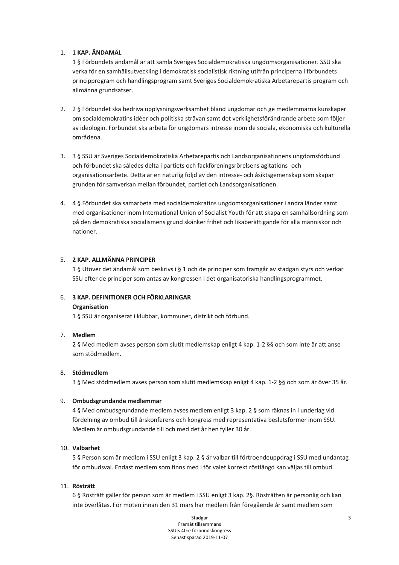## 1. 1 KAP. ÄNDAMÅL

1§ Förbundets ändamål är att samla Sveriges Socialdemokratiska ungdomsorganisationer. SSU ska verka för en samhällsutveckling i demokratisk socialistisk riktning utifrån principerna i förbundets principprogram och handlingsprogram samt Sveriges Socialdemokratiska Arbetarepartis program och allmänna grundsatser.

- 2. 2 § Förbundet ska bedriva upplysningsverksamhet bland ungdomar och ge medlemmarna kunskaper om socialdemokratins idéer och politiska strävan samt det verklighetsförändrande arbete som följer av ideologin. Förbundet ska arbeta för ungdomars intresse inom de sociala, ekonomiska och kulturella områdena.
- 3. 3 § SSU är Sveriges Socialdemokratiska Arbetarepartis och Landsorganisationens ungdomsförbund och förbundet ska således delta i partiets och fackföreningsrörelsens agitations- och organisationsarbete. Detta är en naturlig följd av den intresse- och åsiktsgemenskap som skapar grunden för samverkan mellan förbundet, partiet och Landsorganisationen.
- 4. 4 § Förbundet ska samarbeta med socialdemokratins ungdomsorganisationer i andra länder samt med organisationer inom International Union of Socialist Youth för att skapa en samhällsordning som på den demokratiska socialismens grund skänker frihet och likaberättigande för alla människor och nationer.

## 5. 2 KAP. ALLMÄNNA PRINCIPER

1 § Utöver det ändamål som beskrivs i § 1 och de principer som framgår av stadgan styrs och verkar SSU efter de principer som antas av kongressen i det organisatoriska handlingsprogrammet.

## 6. 3 KAP. DEFINITIONER OCH FÖRKLARINGAR **Organisation**

1§ SSU är organiserat i klubbar, kommuner, distrikt och förbund.

## 7. Medlem

2 § Med medlem avses person som slutit medlemskap enligt 4 kap. 1-2 §§ och som inte är att anse som stödmedlem.

#### 8. Stödmedlem

3 § Med stödmedlem avses person som slutit medlemskap enligt 4 kap. 1-2 §§ och som är över 35 år.

#### 9. Ombudsgrundande medlemmar

4 § Med ombudsgrundande medlem avses medlem enligt 3 kap. 2 § som räknas in i underlag vid fördelning av ombud till årskonferens och kongress med representativa beslutsformer inom SSU. Medlem är ombudsgrundande till och med det år hen fyller 30 år.

#### 10. Valbarhet

5 § Person som är medlem i SSU enligt 3 kap. 2 § är valbar till förtroendeuppdrag i SSU med undantag för ombudsval. Endast medlem som finns med i för valet korrekt röstlängd kan väljas till ombud.

#### 11. Rösträtt

6 § Rösträtt gäller för person som är medlem i SSU enligt 3 kap. 2§. Rösträtten är personlig och kan inte överlåtas. För möten innan den 31 mars har medlem från föregående år samt medlem som

> Stadgar Framåt tillsammans SSU:s 40:e förbundskongress Senast sparad 2019-11-07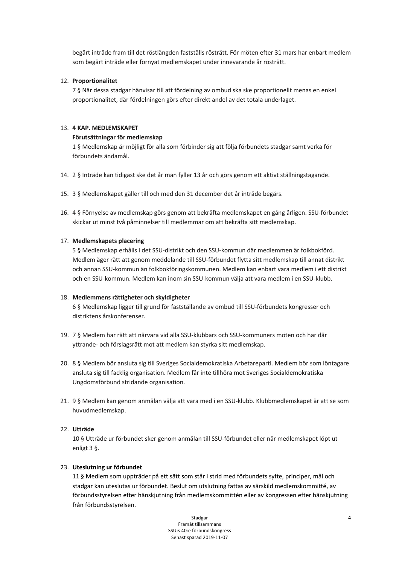begärt inträde fram till det röstlängden fastställs rösträtt. För möten efter 31 mars har enbart medlem som begärt inträde eller förnyat medlemskapet under innevarande år rösträtt.

## 12. Proportionalitet

7 § När dessa stadgar hänvisar till att fördelning av ombud ska ske proportionellt menas en enkel proportionalitet, där fördelningen görs efter direkt andel av det totala underlaget.

#### 13. 4 KAP. MEDLEMSKAPET

#### Förutsättningar för medlemskap

1§ Medlemskap är möjligt för alla som förbinder sig att följa förbundets stadgar samt verka för förbundets ändamål.

- 14. 2 § Inträde kan tidigast ske det år man fyller 13 år och görs genom ett aktivt ställningstagande.
- 15. 3 § Medlemskapet gäller till och med den 31 december det år inträde begärs.
- 16. 4§ Förnyelse av medlemskap görs genom att bekräfta medlemskapet en gång årligen. SSU-förbundet skickar ut minst två påminnelser till medlemmar om att bekräfta sitt medlemskap.

## 17. Medlemskapets placering

5 § Medlemskap erhålls i det SSU-distrikt och den SSU-kommun där medlemmen är folkbokförd. Medlem äger rätt att genom meddelande till SSU-förbundet flytta sitt medlemskap till annat distrikt och annan SSU-kommun än folkbokföringskommunen. Medlem kan enbart vara medlem i ett distrikt och en SSU-kommun. Medlem kan inom sin SSU-kommun välja att vara medlem i en SSU-klubb.

#### 18. Medlemmens rättigheter och skyldigheter

6 § Medlemskap ligger till grund för fastställande av ombud till SSU-förbundets kongresser och distriktens årskonferenser.

- 19. 7 § Medlem har rätt att närvara vid alla SSU-klubbars och SSU-kommuners möten och har där yttrande- och förslagsrätt mot att medlem kan styrka sitt medlemskap.
- 20. 8 § Medlem bör ansluta sig till Sveriges Socialdemokratiska Arbetareparti. Medlem bör som löntagare ansluta sig till facklig organisation. Medlem får inte tillhöra mot Sveriges Socialdemokratiska Ungdomsförbund stridande organisation.
- 21. 9 § Medlem kan genom anmälan välja att vara med i en SSU-klubb. Klubbmedlemskapet är att se som huvudmedlemskap.

## 22. Utträde

10 § Utträde ur förbundet sker genom anmälan till SSU-förbundet eller när medlemskapet löpt ut enligt 3 §.

## 23. Uteslutning ur förbundet

11 § Medlem som uppträder på ett sätt som står i strid med förbundets syfte, principer, mål och stadgar kan uteslutas ur förbundet. Beslut om utslutning fattas av särskild medlemskommitté, av förbundsstyrelsen efter hänskjutning från medlemskommittén eller av kongressen efter hänskjutning från förbundsstyrelsen.

> Stadgar Framåt tillsammans SSU:s 40:e förbundskongress Senast sparad 2019-11-07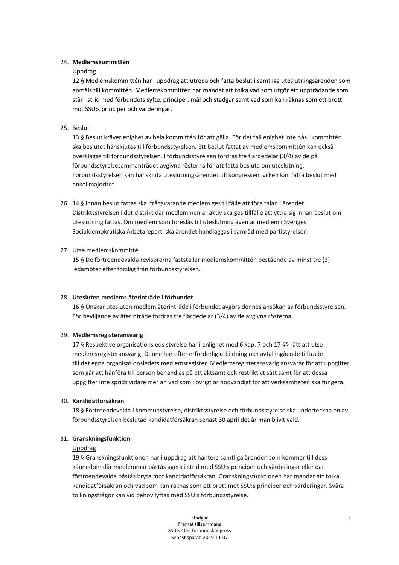#### 24. Medlemskommittén

## Unndrag

12 § Medlemskommittén har i uppdrag att utreda och fatta beslut i samtliga uteslutningsärenden som anmäls till kommittén. Medlemskommittén har mandat att tolka vad som utgör ett uppträdande som står i strid med förbundets syfte, principer, mål och stadgar samt vad som kan räknas som ett brott mot SSU:s principer och värderingar.

## 25. Beslut

13 § Beslut kräver enighet av hela kommittén för att gälla. För det fall enighet inte nås i kommittén ska beslutet hänskjutas till förbundsstyrelsen. Ett beslut fattat av medlemskommittén kan också överklagas till förbundsstyrelsen. I förbundsstyrelsen fordras tre fjärdedelar (3/4) av de på förbundsstyrelsesammanträdet avgivna rösterna för att fatta besluta om uteslutning. Förbundsstyrelsen kan hänskjuta uteslutningsärendet till kongressen, vilken kan fatta beslut med enkel majoritet.

26. 14 § Innan beslut fattas ska ifrågavarande medlem ges tillfälle att föra talan i ärendet. Distriktsstyrelsen i det distrikt där medlemmen är aktiv ska ges tillfälle att yttra sig innan beslut om uteslutning fattas. Om medlem som föreslås till uteslutning även är medlem i Sveriges Socialdemokratiska Arbetareparti ska ärendet handläggas i samråd med partistyrelsen.

## 27. Utse medlemskommitté

15 § De förtroendevalda revisorerna fastställer medlemskommittén bestående av minst tre (3) ledamöter efter förslag från förbundsstyrelsen.

#### 28. Utesluten medlems återinträde i förbundet

16 § Önskar utesluten medlem återinträde i förbundet avgörs dennes ansökan av förbundsstyrelsen. För beviljande av återinträde fordras tre fjärdedelar (3/4) av de avgivna rösterna.

#### 29. Medlemsregisteransvarig

17 § Respektive organisationsleds styrelse har i enlighet med 6 kap. 7 och 17 §§ rätt att utse medlemsregisteransvarig. Denne har efter erforderlig utbildning och avtal ingående tillträde till det egna organisationsledets medlemsregister. Medlemsregisteransvarig ansvarar för att uppgifter som går att hänföra till person behandlas på ett aktsamt och restriktivt sätt samt för att dessa uppgifter inte sprids vidare mer än vad som i övrigt är nödvändigt för att verksamheten ska fungera.

#### 30. Kandidatförsäkran

18 § Förtroendevalda i kommunstyrelse, distriktsstyrelse och förbundsstyrelse ska underteckna en av förbundsstyrelsen beslutad kandidatförsäkran senast 30 april det år man blivit vald.

#### 31. Granskningsfunktion

#### Uppdrag

19 § Granskningsfunktionen har i uppdrag att hantera samtliga ärenden som kommer till dess kännedom där medlemmar påstås agera i strid med SSU:s principer och värderingar eller där förtroendevalda påstås bryta mot kandidatförsäkran. Granskningsfunktionen har mandat att tolka kandidatförsäkran och vad som kan räknas som ett brott mot SSU:s principer och värderingar. Svåra tolkningsfrågor kan vid behov lyftas med SSU:s förbundsstyrelse.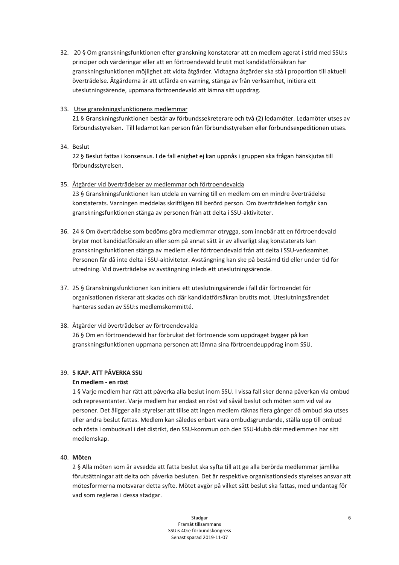32. 20 § Om granskningsfunktionen efter granskning konstaterar att en medlem agerat i strid med SSU:s principer och värderingar eller att en förtroendevald brutit mot kandidatförsäkran har granskningsfunktionen möjlighet att vidta åtgärder. Vidtagna åtgärder ska stå i proportion till aktuell överträdelse. Åtgärderna är att utfärda en varning, stänga av från verksamhet, initiera ett uteslutningsärende, uppmana förtroendevald att lämna sitt uppdrag.

## 33. Utse granskningsfunktionens medlemmar

21 § Granskningsfunktionen består av förbundssekreterare och två (2) ledamöter. Ledamöter utses av förbundsstyrelsen. Till ledamot kan person från förbundsstyrelsen eller förbundsexpeditionen utses.

## 34. Beslut

22 § Beslut fattas i konsensus. I de fall enighet ej kan uppnås i gruppen ska frågan hänskjutas till förbundsstyrelsen.

## 35. Åtgärder vid överträdelser av medlemmar och förtroendevalda

23 § Granskningsfunktionen kan utdela en varning till en medlem om en mindre överträdelse konstaterats. Varningen meddelas skriftligen till berörd person. Om överträdelsen fortgår kan granskningsfunktionen stänga av personen från att delta i SSU-aktiviteter.

- 36. 24 § Om överträdelse som bedöms göra medlemmar otrygga, som innebär att en förtroendevald bryter mot kandidatförsäkran eller som på annat sätt är av allvarligt slag konstaterats kan granskningsfunktionen stänga av medlem eller förtroendevald från att delta i SSU-verksamhet. Personen får då inte delta i SSU-aktiviteter. Avstängning kan ske på bestämd tid eller under tid för utredning. Vid överträdelse av avstängning inleds ett uteslutningsärende.
- 37. 25 § Granskningsfunktionen kan initiera ett uteslutningsärende i fall där förtroendet för organisationen riskerar att skadas och där kandidatförsäkran brutits mot. Uteslutningsärendet hanteras sedan av SSU:s medlemskommitté.

#### 38. Åtgärder vid överträdelser av förtroendevalda

26 § Om en förtroendevald har förbrukat det förtroende som uppdraget bygger på kan granskningsfunktionen uppmana personen att lämna sina förtroendeuppdrag inom SSU.

## 39. 5 KAP. ATT PÅVERKA SSU

#### En medlem - en röst

1 § Varje medlem har rätt att påverka alla beslut inom SSU. I vissa fall sker denna påverkan via ombud och representanter. Varje medlem har endast en röst vid såväl beslut och möten som vid val av personer. Det åligger alla styrelser att tillse att ingen medlem räknas flera gånger då ombud ska utses eller andra beslut fattas. Medlem kan således enbart vara ombudsgrundande, ställa upp till ombud och rösta i ombudsval i det distrikt, den SSU-kommun och den SSU-klubb där medlemmen har sitt medlemskap.

#### 40. Möten

2 § Alla möten som är avsedda att fatta beslut ska syfta till att ge alla berörda medlemmar jämlika förutsättningar att delta och påverka besluten. Det är respektive organisationsleds styrelses ansvar att mötesformerna motsvarar detta syfte. Mötet avgör på vilket sätt beslut ska fattas, med undantag för vad som regleras i dessa stadgar.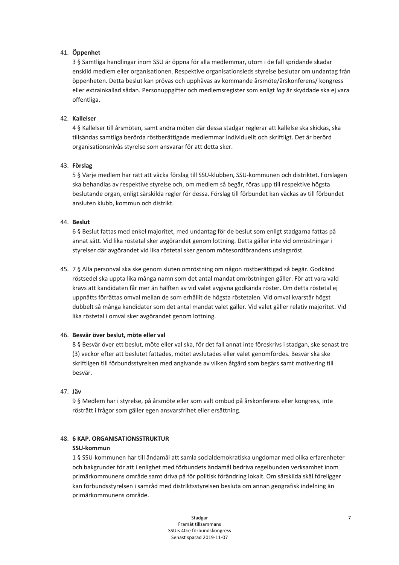## 41. Öppenhet

3 § Samtliga handlingar inom SSU är öppna för alla medlemmar, utom i de fall spridande skadar enskild medlem eller organisationen. Respektive organisationsleds styrelse beslutar om undantag från öppenheten. Detta beslut kan prövas och upphävas av kommande årsmöte/årskonferens/ kongress eller extrainkallad sådan. Personuppgifter och medlemsregister som enligt lag är skyddade ska ej vara offentliga.

## 42. Kallelser

4 § Kallelser till årsmöten, samt andra möten där dessa stadgar reglerar att kallelse ska skickas, ska tillsändas samtliga berörda röstberättigade medlemmar individuellt och skriftligt. Det är berörd organisationsnivås styrelse som ansvarar för att detta sker.

## 43. Förslag

5 § Varie medlem har rätt att väcka förslag till SSU-klubben, SSU-kommunen och distriktet. Förslagen ska behandlas av respektive styrelse och, om medlem så begär, föras upp till respektive högsta beslutande organ, enligt särskilda regler för dessa. Förslag till förbundet kan väckas av till förbundet ansluten klubb, kommun och distrikt.

## 44. Beslut

6 § Beslut fattas med enkel majoritet, med undantag för de beslut som enligt stadgarna fattas på annat sätt. Vid lika röstetal sker avgörandet genom lottning. Detta gäller inte vid omröstningar i styrelser där avgörandet vid lika röstetal sker genom mötesordförandens utslagsröst.

45. 7 § Alla personval ska ske genom sluten omröstning om någon röstberättigad så begär. Godkänd röstsedel ska uppta lika många namn som det antal mandat omröstningen gäller. För att vara vald krävs att kandidaten får mer än hälften av vid valet avgivna godkända röster. Om detta röstetal ej uppnåtts förrättas omval mellan de som erhållit de högsta röstetalen. Vid omval kvarstår högst dubbelt så många kandidater som det antal mandat valet gäller. Vid valet gäller relativ majoritet. Vid lika röstetal i omval sker avgörandet genom lottning.

#### 46. Besvär över beslut, möte eller val

8 § Besvär över ett beslut, möte eller val ska, för det fall annat inte föreskrivs i stadgan, ske senast tre (3) veckor efter att beslutet fattades, mötet avslutades eller valet genomfördes. Besvär ska ske skriftligen till förbundsstyrelsen med angivande av vilken åtgärd som begärs samt motivering till besvär.

#### 47. Jäv

9 § Medlem har i styrelse, på årsmöte eller som valt ombud på årskonferens eller kongress, inte rösträtt i frågor som gäller egen ansvarsfrihet eller ersättning.

## **48. 6 KAP. ORGANISATIONSSTRUKTUR**

#### SSU-kommun

1§ SSU-kommunen har till ändamål att samla socialdemokratiska ungdomar med olika erfarenheter och bakgrunder för att i enlighet med förbundets ändamål bedriva regelbunden verksamhet inom primärkommunens område samt driva på för politisk förändring lokalt. Om särskilda skäl föreligger kan förbundsstyrelsen i samråd med distriktsstyrelsen besluta om annan geografisk indelning än primärkommunens område.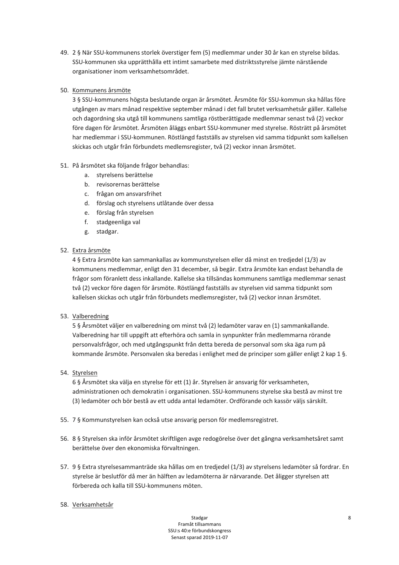49. 2 § När SSU-kommunens storlek överstiger fem (5) medlemmar under 30 år kan en styrelse bildas. SSU-kommunen ska upprätthålla ett intimt samarbete med distriktsstyrelse jämte närstående organisationer inom verksamhetsområdet.

## 50. Kommunens årsmöte

3 § SSU-kommunens högsta beslutande organ är årsmötet. Årsmöte för SSU-kommun ska hållas före utgången av mars månad respektive september månad i det fall brutet verksamhetsår gäller. Kallelse och dagordning ska utgå till kommunens samtliga röstberättigade medlemmar senast två (2) veckor före dagen för årsmötet. Årsmöten åläggs enbart SSU-kommuner med styrelse. Rösträtt på årsmötet har medlemmar i SSU-kommunen. Röstlängd fastställs av styrelsen vid samma tidpunkt som kallelsen skickas och utgår från förbundets medlemsregister, två (2) veckor innan årsmötet.

## 51. På årsmötet ska följande frågor behandlas:

- a. styrelsens berättelse
- b. revisorernas berättelse
- c. frågan om ansvarsfrihet
- d. förslag och styrelsens utlåtande över dessa
- e. förslag från styrelsen
- f. stadgeenliga val
- g. stadgar.

## 52. Extra årsmöte

4 § Extra årsmöte kan sammankallas av kommunstyrelsen eller då minst en tredjedel (1/3) av kommunens medlemmar, enligt den 31 december, så begär. Extra årsmöte kan endast behandla de frågor som föranlett dess inkallande. Kallelse ska tillsändas kommunens samtliga medlemmar senast två (2) veckor före dagen för årsmöte. Röstlängd fastställs av styrelsen vid samma tidpunkt som kallelsen skickas och utgår från förbundets medlemsregister, två (2) veckor innan årsmötet.

## 53. Valberedning

5 § Årsmötet väljer en valberedning om minst två (2) ledamöter varav en (1) sammankallande. Valberedning har till uppgift att efterhöra och samla in synpunkter från medlemmarna rörande personvalsfrågor, och med utgångspunkt från detta bereda de personval som ska äga rum på kommande årsmöte. Personvalen ska beredas i enlighet med de principer som gäller enligt 2 kap 1 §.

## 54. Styrelsen

6 § Årsmötet ska välja en styrelse för ett (1) år. Styrelsen är ansvarig för verksamheten, administrationen och demokratin i organisationen. SSU-kommunens styrelse ska bestå av minst tre (3) ledamöter och bör bestå av ett udda antal ledamöter. Ordförande och kassör väljs särskilt.

- 55. 7 § Kommunstyrelsen kan också utse ansvarig person för medlemsregistret.
- 56. 8 § Styrelsen ska inför årsmötet skriftligen avge redogörelse över det gångna verksamhetsåret samt berättelse över den ekonomiska förvaltningen.
- 57. 9 § Extra styrelsesammanträde ska hållas om en tredjedel (1/3) av styrelsens ledamöter så fordrar. En styrelse är beslutför då mer än hälften av ledamöterna är närvarande. Det åligger styrelsen att förbereda och kalla till SSU-kommunens möten.
- 58. Verksamhetsår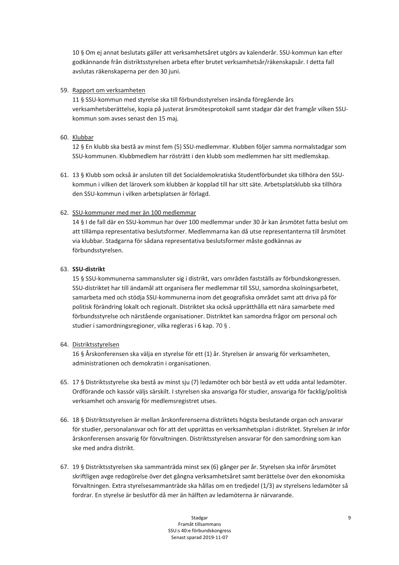10 § Om ej annat beslutats gäller att verksamhetsåret utgörs av kalenderår. SSU-kommun kan efter godkännande från distriktsstyrelsen arbeta efter brutet verksamhetsår/räkenskapsår. I detta fall avslutas räkenskaperna per den 30 juni.

## 59. Rapport om verksamheten

11 § SSU-kommun med styrelse ska till förbundsstyrelsen insända föregående års verksamhetsberättelse, kopia på justerat årsmötesprotokoll samt stadgar där det framgår vilken SSUkommun som avses senast den 15 maj.

## 60. Klubbar

12 § En klubb ska bestå av minst fem (5) SSU-medlemmar. Klubben följer samma normalstadgar som SSU-kommunen. Klubbmedlem har rösträtt i den klubb som medlemmen har sitt medlemskap.

61. 13 § Klubb som också är ansluten till det Socialdemokratiska Studentförbundet ska tillhöra den SSUkommun i vilken det läroverk som klubben är kopplad till har sitt säte. Arbetsplatsklubb ska tillhöra den SSU-kommun i vilken arbetsplatsen är förlagd.

## 62. SSU-kommuner med mer än 100 medlemmar

14 § I de fall där en SSU-kommun har över 100 medlemmar under 30 år kan årsmötet fatta beslut om att tillämpa representativa beslutsformer. Medlemmarna kan då utse representanterna till årsmötet via klubbar. Stadgarna för sådana representativa beslutsformer måste godkännas av förbundsstyrelsen.

## 63. SSU-distrikt

15 § SSU-kommunerna sammansluter sig i distrikt, vars områden fastställs av förbundskongressen. SSU-distriktet har till ändamål att organisera fler medlemmar till SSU, samordna skolningsarbetet, samarbeta med och stödja SSU-kommunerna inom det geografiska området samt att driva på för politisk förändring lokalt och regionalt. Distriktet ska också upprätthålla ett nära samarbete med förbundsstyrelse och närstående organisationer. Distriktet kan samordna frågor om personal och studier i samordningsregioner, vilka regleras i 6 kap. 70 §.

#### 64. Distriktsstyrelsen

16 § Årskonferensen ska välja en styrelse för ett (1) år. Styrelsen är ansvarig för verksamheten, administrationen och demokratin i organisationen.

- 65. 17 § Distriktsstyrelse ska bestå av minst sju (7) ledamöter och bör bestå av ett udda antal ledamöter. Ordförande och kassör väljs särskilt. I styrelsen ska ansvariga för studier, ansvariga för facklig/politisk verksamhet och ansvarig för medlemsregistret utses.
- 66. 18 § Distriktsstyrelsen är mellan årskonferenserna distriktets högsta beslutande organ och ansvarar för studier, personalansvar och för att det upprättas en verksamhetsplan i distriktet. Styrelsen är inför årskonferensen ansvarig för förvaltningen. Distriktsstyrelsen ansvarar för den samordning som kan ske med andra distrikt.
- 67. 19 § Distriktsstyrelsen ska sammanträda minst sex (6) gånger per år. Styrelsen ska inför årsmötet skriftligen avge redogörelse över det gångna verksamhetsåret samt berättelse över den ekonomiska förvaltningen. Extra styrelsesammanträde ska hållas om en tredjedel (1/3) av styrelsens ledamöter så fordrar. En styrelse är beslutför då mer än hälften av ledamöterna är närvarande.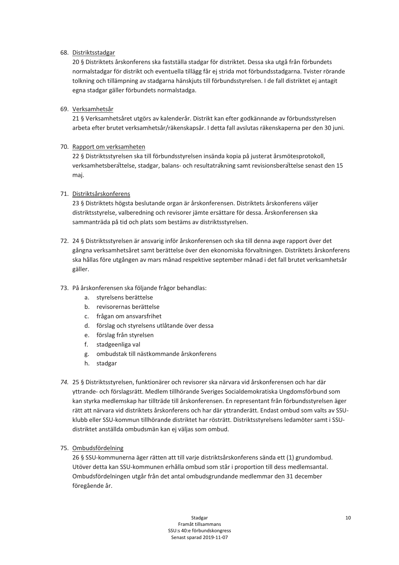## 68. Distriktsstadgar

20 § Distriktets årskonferens ska fastställa stadgar för distriktet. Dessa ska utgå från förbundets normalstadgar för distrikt och eventuella tillägg får ei strida mot förbundsstadgarna. Tvister rörande tolkning och tillämpning av stadgarna hänskjuts till förbundsstyrelsen. I de fall distriktet ej antagit egna stadgar gäller förbundets normalstadga.

## 69. Verksamhetsår

21 § Verksamhetsåret utgörs av kalenderår. Distrikt kan efter godkännande av förbundsstyrelsen arbeta efter brutet verksamhetsår/räkenskapsår. I detta fall avslutas räkenskaperna per den 30 juni.

## 70. Rapport om verksamheten

22 § Distriktsstyrelsen ska till förbundsstyrelsen insända kopia på justerat årsmötesprotokoll, verksamhetsberättelse, stadgar, balans- och resultaträkning samt revisionsberättelse senast den 15 maj.

## 71. Distriktsårskonferens

23 § Distriktets högsta beslutande organ är årskonferensen. Distriktets årskonferens väljer distriktsstyrelse, valberedning och revisorer jämte ersättare för dessa. Årskonferensen ska sammanträda på tid och plats som bestäms av distriktsstyrelsen.

- 72. 24 § Distriktsstyrelsen är ansvarig inför årskonferensen och ska till denna avge rapport över det gångna verksamhetsåret samt berättelse över den ekonomiska förvaltningen. Distriktets årskonferens ska hållas före utgången av mars månad respektive september månad i det fall brutet verksamhetsår gäller.
- 73. På årskonferensen ska följande frågor behandlas:
	- a. styrelsens berättelse
	- b. revisorernas berättelse
	- c. frågan om ansvarsfrihet
	- d. förslag och styrelsens utlåtande över dessa
	- e. förslag från styrelsen
	- f. stadgeenliga val
	- g. ombudstak till nästkommande årskonferens
	- h. stadgar
- 74. 25 § Distriktsstyrelsen, funktionärer och revisorer ska närvara vid årskonferensen och har där yttrande- och förslagsrätt. Medlem tillhörande Sveriges Socialdemokratiska Ungdomsförbund som kan styrka medlemskap har tillträde till årskonferensen. En representant från förbundsstyrelsen äger rätt att närvara vid distriktets årskonferens och har där vttranderätt. Endast ombud som valts av SSUklubb eller SSU-kommun tillhörande distriktet har rösträtt. Distriktsstyrelsens ledamöter samt i SSUdistriktet anställda ombudsmän kan ej väljas som ombud.

## 75. Ombudsfördelning

26 § SSU-kommunerna äger rätten att till varje distriktsårskonferens sända ett (1) grundombud. Utöver detta kan SSU-kommunen erhålla ombud som står i proportion till dess medlemsantal. Ombudsfördelningen utgår från det antal ombudsgrundande medlemmar den 31 december föregående år.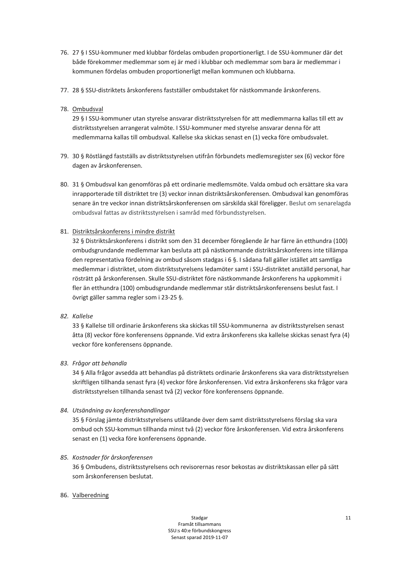- 76. 27 § I SSU-kommuner med klubbar fördelas ombuden proportionerligt. I de SSU-kommuner där det både förekommer medlemmar som ej är med i klubbar och medlemmar som bara är medlemmar i kommunen fördelas ombuden proportionerligt mellan kommunen och klubbarna.
- 77. 28 § SSU-distriktets årskonferens fastställer ombudstaket för nästkommande årskonferens.

## 78. Ombudsval

29 § I SSU-kommuner utan styrelse ansvarar distriktsstyrelsen för att medlemmarna kallas till ett av distriktsstyrelsen arrangerat valmöte. I SSU-kommuner med styrelse ansvarar denna för att medlemmarna kallas till ombudsval. Kallelse ska skickas senast en (1) vecka före ombudsvalet.

- 79. 30 § Röstlängd fastställs av distriktsstyrelsen utifrån förbundets medlemsregister sex (6) veckor före dagen av årskonferensen.
- 80. 31 § Ombudsval kan genomföras på ett ordinarie medlemsmöte. Valda ombud och ersättare ska vara inrapporterade till distriktet tre (3) veckor innan distriktsårskonferensen. Ombudsval kan genomföras senare än tre veckor innan distriktsårskonferensen om särskilda skäl föreligger. Beslut om senarelagda ombudsval fattas av distriktsstyrelsen i samråd med förbundsstyrelsen.

## 81. Distriktsårskonferens i mindre distrikt

32 § Distriktsårskonferens i distrikt som den 31 december föregående år har färre än etthundra (100) ombudsgrundande medlemmar kan besluta att på nästkommande distriktsårskonferens inte tillämpa den representativa fördelning av ombud såsom stadgas i 6 §. I sådana fall gäller istället att samtliga medlemmar i distriktet, utom distriktsstyrelsens ledamöter samt i SSU-distriktet anställd personal, har rösträtt på årskonferensen. Skulle SSU-distriktet före nästkommande årskonferens ha uppkommit i fler än etthundra (100) ombudsgrundande medlemmar står distriktsårskonferensens beslut fast. I övrigt gäller samma regler som i 23-25 §.

#### 82. Kallelse

33 § Kallelse till ordinarie årskonferens ska skickas till SSU-kommunerna av distriktsstyrelsen senast åtta (8) veckor före konferensens öppnande. Vid extra årskonferens ska kallelse skickas senast fyra (4) veckor före konferensens öppnande.

## 83. Frågor att behandla

34 § Alla frågor avsedda att behandlas på distriktets ordinarie årskonferens ska vara distriktsstyrelsen skriftligen tillhanda senast fyra (4) veckor före årskonferensen. Vid extra årskonferens ska frågor vara distriktsstyrelsen tillhanda senast två (2) veckor före konferensens öppnande.

#### 84. Utsändning av konferenshandlingar

35 § Förslag jämte distriktsstyrelsens utlåtande över dem samt distriktsstyrelsens förslag ska vara ombud och SSU-kommun tillhanda minst två (2) veckor före årskonferensen. Vid extra årskonferens senast en (1) vecka före konferensens öppnande.

#### 85. Kostnader för årskonferensen

36 § Ombudens, distriktsstyrelsens och revisorernas resor bekostas av distriktskassan eller på sätt som årskonferensen beslutat.

#### 86. Valberedning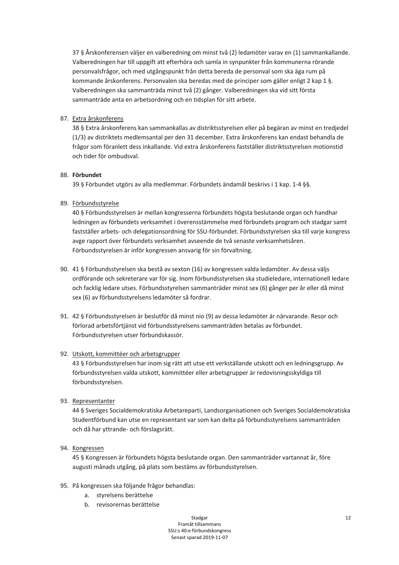37 § Årskonferensen väljer en valberedning om minst två (2) ledamöter varav en (1) sammankallande. Valberedningen har till uppgift att efterhöra och samla in synpunkter från kommunerna rörande personvalsfrågor, och med utgångspunkt från detta bereda de personval som ska äga rum på kommande årskonferens. Personvalen ska beredas med de principer som gäller enligt 2 kap 1 §. Valberedningen ska sammanträda minst två (2) gånger. Valberedningen ska vid sitt första sammanträde anta en arbetsordning och en tidsplan för sitt arbete.

## 87. Extra årskonferens

38 § Extra årskonferens kan sammankallas av distriktsstyrelsen eller på begäran av minst en tredjedel (1/3) av distriktets medlemsantal per den 31 december. Extra årskonferens kan endast behandla de frågor som föranlett dess inkallande. Vid extra årskonferens fastställer distriktsstyrelsen motionstid och tider för ombudsval.

## 88. Förbundet

39 § Förbundet utgörs av alla medlemmar. Förbundets ändamål beskrivs i 1 kap. 1-4 §§.

## 89. Förbundsstyrelse

40 § Förbundsstyrelsen är mellan kongresserna förbundets högsta beslutande organ och handhar ledningen av förbundets verksamhet i överensstämmelse med förbundets program och stadgar samt fastställer arbets- och delegationsordning för SSU-förbundet. Förbundsstyrelsen ska till varje kongress avge rapport över förbundets verksamhet avseende de två senaste verksamhetsåren. Förbundsstyrelsen är inför kongressen ansvarig för sin förvaltning.

- 90. 41 § Förbundsstyrelsen ska bestå av sexton (16) av kongressen valda ledamöter. Av dessa väljs ordförande och sekreterare var för sig. Inom förbundsstyrelsen ska studieledare, internationell ledare och facklig ledare utses. Förbundsstyrelsen sammanträder minst sex (6) gånger per år eller då minst sex (6) av förbundsstyrelsens ledamöter så fordrar.
- 91. 42 § Förbundsstyrelsen är beslutför då minst nio (9) av dessa ledamöter är närvarande. Resor och förlorad arbetsförtjänst vid förbundsstyrelsens sammanträden betalas av förbundet. Förbundsstyrelsen utser förbundskassör.

#### 92. Utskott, kommittéer och arbetsgrupper

43 § Förbundsstyrelsen har inom sig rätt att utse ett verkställande utskott och en ledningsgrupp. Av förbundsstyrelsen valda utskott, kommittéer eller arbetsgrupper är redovisningsskyldiga till förbundsstyrelsen.

93. Representanter

44 § Sveriges Socialdemokratiska Arbetareparti. Landsorganisationen och Sveriges Socialdemokratiska Studentförbund kan utse en representant var som kan delta på förbundsstyrelsens sammanträden och då har yttrande- och förslagsrätt.

#### 94. Kongressen

45 § Kongressen är förbundets högsta beslutande organ. Den sammanträder vartannat år, före augusti månads utgång, på plats som bestäms av förbundsstyrelsen.

- 95. På kongressen ska följande frågor behandlas:
	- a. styrelsens berättelse
	- b. revisorernas berättelse

Stadgar Framåt tillsammans SSU:s 40:e förbundskongress Senast sparad 2019-11-07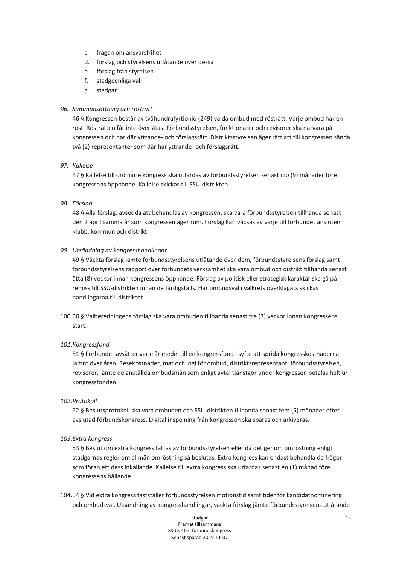- c. frågan om ansvarsfrihet
- d. förslag och styrelsens utlåtande över dessa
- e. förslag från styrelsen
- f. stadgeenliga val
- g. stadgar

#### 96. Sammansättning och rösträtt

46 § Kongressen består av tvåhundrafyrtionio (249) valda ombud med rösträtt. Varje ombud har en röst. Rösträtten får inte överlåtas. Förbundsstyrelsen, funktionärer och revisorer ska närvara på kongressen och har där yttrande- och förslagsrätt. Distriktsstyrelsen äger rätt att till kongressen sända två (2) representanter som där har yttrande- och förslagsrätt.

#### 97. Kallelse

47 § Kallelse till ordinarie kongress ska utfärdas av förbundsstyrelsen senast nio (9) månader före kongressens öppnande. Kallelse skickas till SSU-distrikten.

#### 98. Förslag

48 § Alla förslag, avsedda att behandlas av kongressen, ska vara förbundsstyrelsen tillhanda senast den 2 april samma år som kongressen äger rum. Förslag kan väckas av varje till förbundet ansluten klubb, kommun och distrikt.

#### 99. Utsändning av kongresshandlingar

49 § Väckta förslag jämte förbundsstyrelsens utlåtande över dem, förbundsstyrelsens förslag samt förbundsstyrelsens rapport över förbundets verksamhet ska vara ombud och distrikt tillhanda senast åtta (8) veckor innan kongressens öppnande. Förslag av politisk eller strategisk karaktär ska gå på remiss till SSU-distrikten innan de färdigställs. Har ombudsval i valkrets överklagats skickas handlingarna till distriktet.

100.50 § Valberedningens förslag ska vara ombuden tillhanda senast tre (3) veckor innan kongressens start.

#### 101.Kongressfond

51 § Förbundet avsätter varje år medel till en kongressfond i syfte att sprida kongresskostnaderna jämnt över åren. Resekostnader, mat och logi för ombud, distriktsrepresentant, förbundsstyrelsen, revisorer, jämte de anställda ombudsmän som enligt avtal tjänstgör under kongressen betalas helt ur kongressfonden.

#### 102. Protokoll

52 § Beslutsprotokoll ska vara ombuden och SSU-distrikten tillhanda senast fem (5) månader efter avslutad förbundskongress. Digital inspelning från kongressen ska sparas och arkiveras.

#### 103.Extra konaress

53 § Beslut om extra kongress fattas av förbundsstyrelsen eller då det genom omröstning enligt stadgarnas regler om allmän omröstning så beslutas. Extra kongress kan endast behandla de frågor som föranlett dess inkallande. Kallelse till extra kongress ska utfärdas senast en (1) månad före kongressens hållande.

104.54 § Vid extra kongress fastställer förbundsstyrelsen motionstid samt tider för kandidatnominering och ombudsval. Utsändning av kongresshandlingar, väckta förslag jämte förbundsstyrelsens utlåtande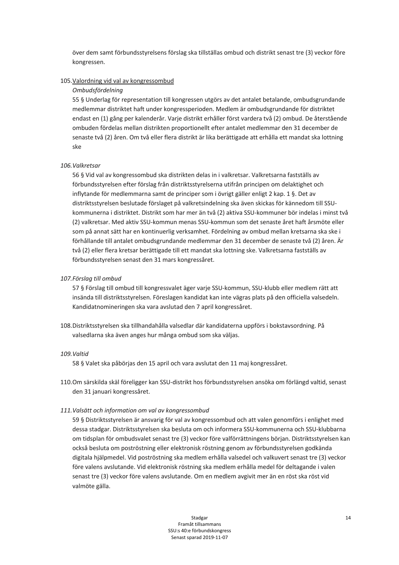över dem samt förbundsstyrelsens förslag ska tillställas ombud och distrikt senast tre (3) veckor före kongressen.

#### 105. Valordning vid val av kongressombud

#### Ombudsfördelning

55 § Underlag för representation till kongressen utgörs av det antalet betalande, ombudsgrundande medlemmar distriktet haft under kongressperioden. Medlem är ombudsgrundande för distriktet endast en (1) gång per kalenderår. Varje distrikt erhåller först vardera två (2) ombud. De återstående ombuden fördelas mellan distrikten proportionellt efter antalet medlemmar den 31 december de senaste två (2) åren. Om två eller flera distrikt är lika berättigade att erhålla ett mandat ska lottning ske

#### 106. Valkretsar

56 § Vid val av kongressombud ska distrikten delas in i valkretsar. Valkretsarna fastställs av förbundsstyrelsen efter förslag från distriktsstyrelserna utifrån principen om delaktighet och inflytande för medlemmarna samt de principer som i övrigt gäller enligt 2 kap. 1 §. Det av distriktsstyrelsen beslutade förslaget på valkretsindelning ska även skickas för kännedom till SSUkommunerna i distriktet. Distrikt som har mer än två (2) aktiva SSU-kommuner bör indelas i minst två (2) valkretsar. Med aktiv SSU-kommun menas SSU-kommun som det senaste året haft årsmöte eller som på annat sätt har en kontinuerlig verksamhet. Fördelning av ombud mellan kretsarna ska ske i förhållande till antalet ombudsgrundande medlemmar den 31 december de senaste två (2) åren. Är två (2) eller flera kretsar berättigade till ett mandat ska lottning ske. Valkretsarna fastställs av förbundsstyrelsen senast den 31 mars kongressåret.

#### 107. Förslag till ombud

57 § Förslag till ombud till kongressvalet äger varje SSU-kommun, SSU-klubb eller medlem rätt att insända till distriktsstyrelsen. Föreslagen kandidat kan inte vägras plats på den officiella valsedeln. Kandidatnomineringen ska vara avslutad den 7 april kongressåret.

108. Distriktsstyrelsen ska tillhandahålla valsedlar där kandidaterna uppförs i bokstavsordning. På valsedlarna ska även anges hur många ombud som ska väljas.

#### 109. Valtid

58 § Valet ska påbörjas den 15 april och vara avslutat den 11 maj kongressåret.

110. Om särskilda skäl föreligger kan SSU-distrikt hos förbundsstyrelsen ansöka om förlängd valtid, senast den 31 januari kongressåret.

#### 111. Valsätt och information om val av konaressombud

59 § Distriktsstyrelsen är ansvarig för val av kongressombud och att valen genomförs i enlighet med dessa stadgar. Distriktsstyrelsen ska besluta om och informera SSU-kommunerna och SSU-klubbarna om tidsplan för ombudsvalet senast tre (3) veckor före valförrättningens början. Distriktsstyrelsen kan också besluta om poströstning eller elektronisk röstning genom av förbundsstyrelsen godkända digitala hjälpmedel. Vid poströstning ska medlem erhålla valsedel och valkuvert senast tre (3) veckor före valens avslutande. Vid elektronisk röstning ska medlem erhålla medel för deltagande i valen senast tre (3) veckor före valens avslutande. Om en medlem avgivit mer än en röst ska röst vid valmöte gälla.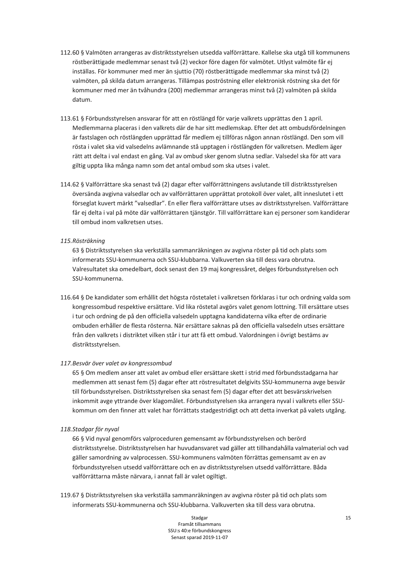- 112.60 § Valmöten arrangeras av distriktsstyrelsen utsedda valförrättare. Kallelse ska utgå till kommunens röstberättigade medlemmar senast två (2) veckor före dagen för valmötet. Utlyst valmöte får ej inställas. För kommuner med mer än siuttio (70) röstberättigade medlemmar ska minst två (2) valmöten, på skilda datum arrangeras. Tillämpas poströstning eller elektronisk röstning ska det för kommuner med mer än tvåhundra (200) medlemmar arrangeras minst två (2) valmöten på skilda datum.
- 113.61 § Förbundsstyrelsen ansvarar för att en röstlängd för varje valkrets upprättas den 1 april. Medlemmarna placeras i den valkrets där de har sitt medlemskap. Efter det att ombudsfördelningen är fastslagen och röstlängden upprättad får medlem ej tillföras någon annan röstlängd. Den som vill rösta i valet ska vid valsedelns avlämnande stå upptagen i röstlängden för valkretsen. Medlem äger rätt att delta i val endast en gång. Val av ombud sker genom slutna sedlar. Valsedel ska för att vara giltig uppta lika många namn som det antal ombud som ska utses i valet.
- 114.62 § Valförrättare ska senast två (2) dagar efter valförrättningens avslutande till distriktsstyrelsen översända avgivna valsedlar och av valförrättaren upprättat protokoll över valet, allt inneslutet i ett förseglat kuvert märkt "valsedlar". En eller flera valförrättare utses av distriktsstyrelsen. Valförrättare får ej delta i val på möte där valförrättaren tjänstgör. Till valförrättare kan ej personer som kandiderar till ombud inom valkretsen utses.

#### 115. Rösträkning

63 § Distriktsstyrelsen ska verkställa sammanräkningen av avgivna röster på tid och plats som informerats SSU-kommunerna och SSU-klubbarna. Valkuverten ska till dess vara obrutna. Valresultatet ska omedelbart, dock senast den 19 maj kongressåret, delges förbundsstyrelsen och SSU-kommunerna.

116.64 § De kandidater som erhållit det högsta röstetalet i valkretsen förklaras i tur och ordning valda som kongressombud respektive ersättare. Vid lika röstetal avgörs valet genom lottning. Till ersättare utses i tur och ordning de på den officiella valsedeln upptagna kandidaterna vilka efter de ordinarie ombuden erhåller de flesta rösterna. När ersättare saknas på den officiella valsedeln utses ersättare från den valkrets i distriktet vilken står i tur att få ett ombud. Valordningen i övrigt bestäms av distriktsstyrelsen.

## 117. Besvär över valet av kongressombud

65 § Om medlem anser att valet av ombud eller ersättare skett i strid med förbundsstadgarna har medlemmen att senast fem (5) dagar efter att röstresultatet delgivits SSU-kommunerna avge besvär till förbundsstyrelsen. Distriktsstyrelsen ska senast fem (5) dagar efter det att besvärsskrivelsen inkommit avge vttrande över klagomålet. Förbundsstyrelsen ska arrangera nyval i valkrets eller SSUkommun om den finner att valet har förrättats stadgestridigt och att detta inverkat på valets utgång.

#### 118. Stadgar för nyval

66 § Vid nyval genomförs valproceduren gemensamt av förbundsstyrelsen och berörd distriktsstyrelse. Distriktsstyrelsen har huvudansvaret vad gäller att tillhandahålla valmaterial och vad gäller samordning av valprocessen. SSU-kommunens valmöten förrättas gemensamt av en av förbundsstyrelsen utsedd valförrättare och en av distriktsstyrelsen utsedd valförrättare. Båda valförrättarna måste närvara, i annat fall är valet ogiltigt.

119.67 § Distriktsstyrelsen ska verkställa sammanräkningen av avgivna röster på tid och plats som informerats SSU-kommunerna och SSU-klubbarna. Valkuverten ska till dess vara obrutna.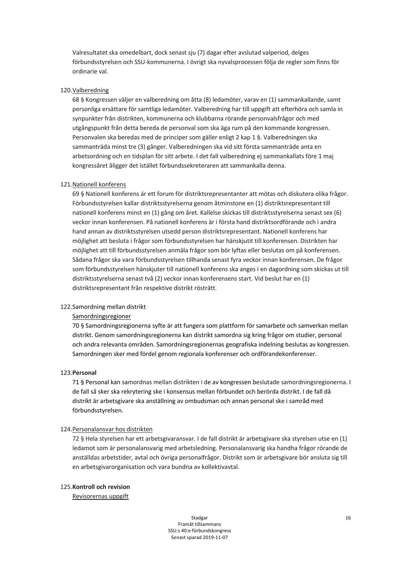Valresultatet ska omedelbart, dock senast sju (7) dagar efter avslutad valperiod, delges förbundsstyrelsen och SSU-kommunerna. I övrigt ska nyvalsprocessen följa de regler som finns för ordinarie val.

#### 120. Valberedning

68 § Kongressen väljer en valberedning om åtta (8) ledamöter, varav en (1) sammankallande, samt personliga ersättare för samtliga ledamöter. Valberedning har till uppgift att efterhöra och samla in synpunkter från distrikten, kommunerna och klubbarna rörande personvalsfrågor och med utgångspunkt från detta bereda de personval som ska äga rum på den kommande kongressen. Personvalen ska beredas med de principer som gäller enligt 2 kap 1 §. Valberedningen ska sammanträda minst tre (3) gånger. Valberedningen ska vid sitt första sammanträde anta en arbetsordning och en tidsplan för sitt arbete. I det fall valberedning ej sammankallats före 1 maj kongressåret åligger det istället förbundssekreteraren att sammankalla denna.

#### 121. Nationell konferens

69 § Nationell konferens är ett forum för distriktsrepresentanter att mötas och diskutera olika frågor. Förbundsstyrelsen kallar distriktsstyrelserna genom åtminstone en (1) distriktsrepresentant till nationell konferens minst en (1) gång om året. Kallelse skickas till distriktsstyrelserna senast sex (6) veckor innan konferensen. På nationell konferens är i första hand distriktsordförande och i andra hand annan av distriktsstyrelsen utsedd person distriktsrepresentant. Nationell konferens har möjlighet att besluta i frågor som förbundsstyrelsen har hänskjutit till konferensen. Distrikten har möjlighet att till förbundsstyrelsen anmäla frågor som bör lyftas eller beslutas om på konferensen. Sådana frågor ska vara förbundsstyrelsen tillhanda senast fyra veckor innan konferensen. De frågor som förbundsstyrelsen hänskjuter till nationell konferens ska anges i en dagordning som skickas ut till distriktsstyrelserna senast två (2) veckor innan konferensens start. Vid beslut har en (1) distriktsrepresentant från respektive distrikt rösträtt.

#### 122. Samordning mellan distrikt

#### Samordningsregioner

70 § Samordningsregionerna syfte är att fungera som plattform för samarbete och samverkan mellan distrikt. Genom samordningsregionerna kan distrikt samordna sig kring frågor om studier, personal och andra relevanta områden. Samordningsregionernas geografiska indelning beslutas av kongressen. Samordningen sker med fördel genom regionala konferenser och ordförandekonferenser.

#### 123. Personal

71 § Personal kan samordnas mellan distrikten i de av kongressen beslutade samordningsregionerna. I de fall så sker ska rekrytering ske i konsensus mellan förbundet och berörda distrikt. I de fall då distrikt är arbetsgivare ska anställning av ombudsman och annan personal ske i samråd med förbundsstvrelsen.

#### 124. Personalansvar hos distrikten

72 § Hela styrelsen har ett arbetsgivaransvar. I de fall distrikt är arbetsgivare ska styrelsen utse en (1) ledamot som är personalansvarig med arbetsledning. Personalansvarig ska handha frågor rörande de anställdas arbetstider, avtal och övriga personalfrågor. Distrikt som är arbetsgivare bör ansluta sig till en arbetsgivarorganisation och vara bundna av kollektivavtal.

#### 125. Kontroll och revision

Revisorernas uppgift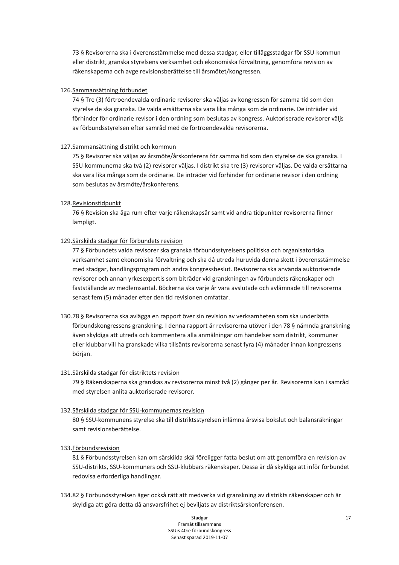73 § Revisorerna ska i överensstämmelse med dessa stadgar, eller tilläggsstadgar för SSU-kommun eller distrikt, granska styrelsens verksamhet och ekonomiska förvaltning, genomföra revision av räkenskaperna och avge revisionsberättelse till årsmötet/kongressen.

#### 126. Sammansättning förbundet

74 § Tre (3) förtroendevalda ordinarie revisorer ska väljas av kongressen för samma tid som den styrelse de ska granska. De valda ersättarna ska vara lika många som de ordinarie. De inträder vid förhinder för ordinarie revisor i den ordning som beslutas av kongress. Auktoriserade revisorer väljs av förbundsstyrelsen efter samråd med de förtroendevalda revisorerna.

#### 127. Sammansättning distrikt och kommun

75 § Revisorer ska väljas av årsmöte/årskonferens för samma tid som den styrelse de ska granska. I SSU-kommunerna ska två (2) revisorer väljas. I distrikt ska tre (3) revisorer väljas. De valda ersättarna ska vara lika många som de ordinarie. De inträder vid förhinder för ordinarie revisor i den ordning som beslutas av årsmöte/årskonferens.

## 128. Revisionstidpunkt

76 § Revision ska äga rum efter varje räkenskapsår samt vid andra tidpunkter revisorerna finner lämpligt.

## 129. Särskilda stadgar för förbundets revision

77 § Förbundets valda revisorer ska granska förbundsstyrelsens politiska och organisatoriska verksamhet samt ekonomiska förvaltning och ska då utreda huruvida denna skett i överensstämmelse med stadgar, handlingsprogram och andra kongressbeslut. Revisorerna ska använda auktoriserade revisorer och annan vrkesexpertis som biträder vid granskningen av förbundets räkenskaper och fastställande av medlemsantal. Böckerna ska varje år vara avslutade och avlämnade till revisorerna senast fem (5) månader efter den tid revisionen omfattar.

130.78 § Revisorerna ska avlägga en rapport över sin revision av verksamheten som ska underlätta förbundskongressens granskning. I denna rapport är revisorerna utöver i den 78 § nämnda granskning även skyldiga att utreda och kommentera alla anmälningar om händelser som distrikt, kommuner eller klubbar vill ha granskade vilka tillsänts revisorerna senast fyra (4) månader innan kongressens början.

#### 131. Särskilda stadgar för distriktets revision

79 § Räkenskaperna ska granskas av revisorerna minst två (2) gånger per år. Revisorerna kan i samråd med styrelsen anlita auktoriserade revisorer.

#### 132. Särskilda stadgar för SSU-kommunernas revision

80 § SSU-kommunens styrelse ska till distriktsstyrelsen inlämna årsvisa bokslut och balansräkningar samt revisionsberättelse.

#### 133. Förbundsrevision

81 § Förbundsstyrelsen kan om särskilda skäl föreligger fatta beslut om att genomföra en revision av SSU-distrikts, SSU-kommuners och SSU-klubbars räkenskaper. Dessa är då skyldiga att inför förbundet redovisa erforderliga handlingar.

134.82 § Förbundsstyrelsen äger också rätt att medverka vid granskning av distrikts räkenskaper och är skyldiga att göra detta då ansvarsfrihet ej beviljats av distriktsårskonferensen.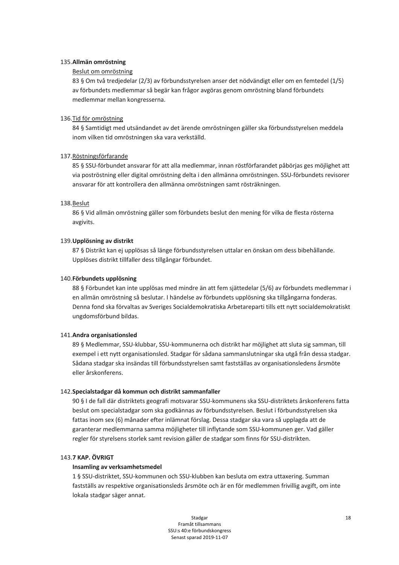#### 135. Allmän omröstning

#### Beslut om omröstning

83 § Om två tredjedelar (2/3) av förbundsstyrelsen anser det nödvändigt eller om en femtedel (1/5) av förbundets medlemmar så begär kan frågor avgöras genom omröstning bland förbundets medlemmar mellan kongresserna.

#### 136. Tid för omröstning

84 § Samtidigt med utsändandet av det ärende omröstningen gäller ska förbundsstyrelsen meddela inom vilken tid omröstningen ska vara verkställd.

#### 137. Röstningsförfarande

85 § SSU-förbundet ansvarar för att alla medlemmar, innan röstförfarandet påbörjas ges möjlighet att via poströstning eller digital omröstning delta i den allmänna omröstningen. SSU-förbundets revisorer ansvarar för att kontrollera den allmänna omröstningen samt rösträkningen.

#### 138.Beslut

86 § Vid allmän omröstning gäller som förbundets beslut den mening för vilka de flesta rösterna avgivits.

#### 139. Upplösning av distrikt

87 § Distrikt kan ej upplösas så länge förbundsstyrelsen uttalar en önskan om dess bibehållande. Upplöses distrikt tillfaller dess tillgångar förbundet.

#### 140. Förbundets upplösning

88 § Förbundet kan inte upplösas med mindre än att fem sjättedelar (5/6) av förbundets medlemmar i en allmän omröstning så beslutar. I händelse av förbundets upplösning ska tillgångarna fonderas. Denna fond ska förvaltas av Sveriges Socialdemokratiska Arbetareparti tills ett nytt socialdemokratiskt ungdomsförbund bildas.

#### 141. Andra organisationsled

89 § Medlemmar, SSU-klubbar, SSU-kommunerna och distrikt har möjlighet att sluta sig samman, till exempel i ett nytt organisationsled. Stadgar för sådana sammanslutningar ska utgå från dessa stadgar. Sådana stadgar ska insändas till förbundsstyrelsen samt fastställas av organisationsledens årsmöte eller årskonferens.

#### 142. Specialstadgar då kommun och distrikt sammanfaller

90 § I de fall där distriktets geografi motsvarar SSU-kommunens ska SSU-distriktets årskonferens fatta beslut om specialstadgar som ska godkännas av förbundsstyrelsen. Beslut i förbundsstyrelsen ska fattas inom sex (6) månader efter inlämnat förslag. Dessa stadgar ska vara så upplagda att de garanterar medlemmarna samma möjligheter till inflytande som SSU-kommunen ger. Vad gäller regler för styrelsens storlek samt revision gäller de stadgar som finns för SSU-distrikten.

#### 143.7 KAP. ÖVRIGT

#### Insamling av verksamhetsmedel

1 § SSU-distriktet. SSU-kommunen och SSU-klubben kan besluta om extra uttaxering. Summan fastställs av respektive organisationsleds årsmöte och är en för medlemmen frivillig avgift, om inte lokala stadgar säger annat.